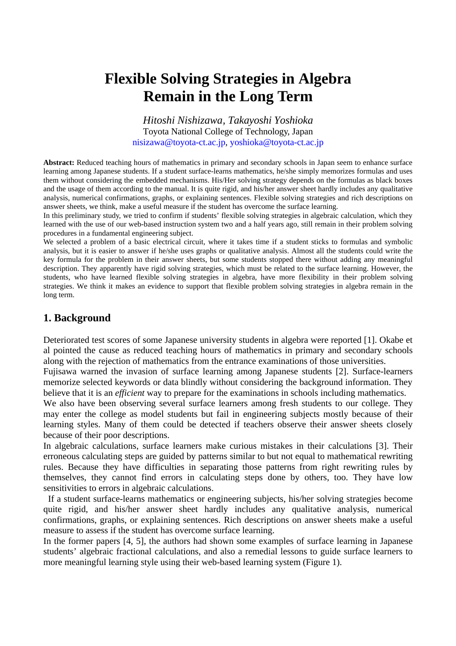# **Flexible Solving Strategies in Algebra Remain in the Long Term**

*Hitoshi Nishizawa, Takayoshi Yoshioka* Toyota National College of Technology, Japan nisizawa@toyota-ct.ac.jp, yoshioka@toyota-ct.ac.jp

**Abstract:** Reduced teaching hours of mathematics in primary and secondary schools in Japan seem to enhance surface learning among Japanese students. If a student surface-learns mathematics, he/she simply memorizes formulas and uses them without considering the embedded mechanisms. His/Her solving strategy depends on the formulas as black boxes and the usage of them according to the manual. It is quite rigid, and his/her answer sheet hardly includes any qualitative analysis, numerical confirmations, graphs, or explaining sentences. Flexible solving strategies and rich descriptions on answer sheets, we think, make a useful measure if the student has overcome the surface learning.

In this preliminary study, we tried to confirm if students' flexible solving strategies in algebraic calculation, which they learned with the use of our web-based instruction system two and a half years ago, still remain in their problem solving procedures in a fundamental engineering subject.

We selected a problem of a basic electrical circuit, where it takes time if a student sticks to formulas and symbolic analysis, but it is easier to answer if he/she uses graphs or qualitative analysis. Almost all the students could write the key formula for the problem in their answer sheets, but some students stopped there without adding any meaningful description. They apparently have rigid solving strategies, which must be related to the surface learning. However, the students, who have learned flexible solving strategies in algebra, have more flexibility in their problem solving strategies. We think it makes an evidence to support that flexible problem solving strategies in algebra remain in the long term.

## **1. Background**

Deteriorated test scores of some Japanese university students in algebra were reported [1]. Okabe et al pointed the cause as reduced teaching hours of mathematics in primary and secondary schools along with the rejection of mathematics from the entrance examinations of those universities.

Fujisawa warned the invasion of surface learning among Japanese students [2]. Surface-learners memorize selected keywords or data blindly without considering the background information. They believe that it is an *efficient* way to prepare for the examinations in schools including mathematics.

We also have been observing several surface learners among fresh students to our college. They may enter the college as model students but fail in engineering subjects mostly because of their learning styles. Many of them could be detected if teachers observe their answer sheets closely because of their poor descriptions.

In algebraic calculations, surface learners make curious mistakes in their calculations [3]. Their erroneous calculating steps are guided by patterns similar to but not equal to mathematical rewriting rules. Because they have difficulties in separating those patterns from right rewriting rules by themselves, they cannot find errors in calculating steps done by others, too. They have low sensitivities to errors in algebraic calculations.

 If a student surface-learns mathematics or engineering subjects, his/her solving strategies become quite rigid, and his/her answer sheet hardly includes any qualitative analysis, numerical confirmations, graphs, or explaining sentences. Rich descriptions on answer sheets make a useful measure to assess if the student has overcome surface learning.

In the former papers [4, 5], the authors had shown some examples of surface learning in Japanese students' algebraic fractional calculations, and also a remedial lessons to guide surface learners to more meaningful learning style using their web-based learning system (Figure 1).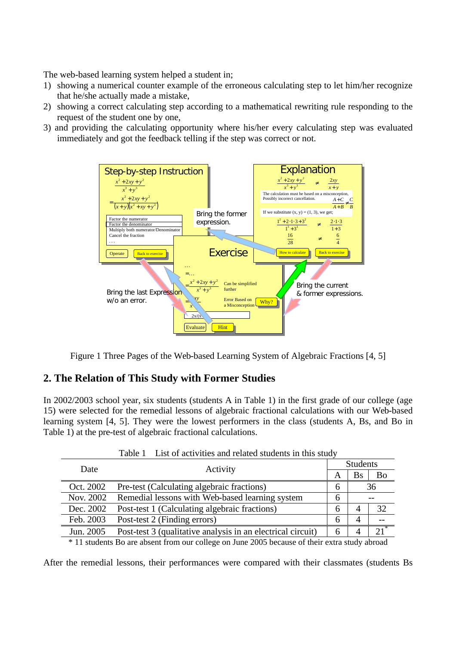The web-based learning system helped a student in;

- 1) showing a numerical counter example of the erroneous calculating step to let him/her recognize that he/she actually made a mistake,
- 2) showing a correct calculating step according to a mathematical rewriting rule responding to the request of the student one by one,
- 3) and providing the calculating opportunity where his/her every calculating step was evaluated immediately and got the feedback telling if the step was correct or not.



Figure 1 Three Pages of the Web-based Learning System of Algebraic Fractions [4, 5]

## **2. The Relation of This Study with Former Studies**

In 2002/2003 school year, six students (students A in Table 1) in the first grade of our college (age 15) were selected for the remedial lessons of algebraic fractional calculations with our Web-based learning system [4, 5]. They were the lowest performers in the class (students A, Bs, and Bo in Table 1) at the pre-test of algebraic fractional calculations.

| Date                                                                                          | Activity                                                    | <b>Students</b> |    |        |
|-----------------------------------------------------------------------------------------------|-------------------------------------------------------------|-----------------|----|--------|
|                                                                                               |                                                             | A               | Bs | Bo     |
| Oct. 2002                                                                                     | Pre-test (Calculating algebraic fractions)                  | 6               | 36 |        |
| Nov. 2002                                                                                     | Remedial lessons with Web-based learning system             | 6               |    |        |
| Dec. 2002                                                                                     | Post-test 1 (Calculating algebraic fractions)               | 6               | 4  | 32     |
| Feb. 2003                                                                                     | Post-test 2 (Finding errors)                                | 6               | 4  |        |
| Jun. 2005                                                                                     | Post-test 3 (qualitative analysis in an electrical circuit) | 6               | 4  | $21^*$ |
| * 11 students Bo are absent from our college on June 2005 because of their extra study abroad |                                                             |                 |    |        |

Table 1 List of activities and related students in this study

After the remedial lessons, their performances were compared with their classmates (students Bs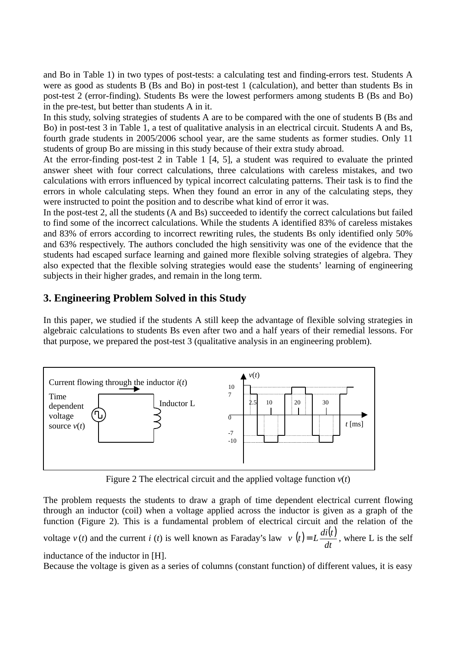and Bo in Table 1) in two types of post-tests: a calculating test and finding-errors test. Students A were as good as students B (Bs and Bo) in post-test 1 (calculation), and better than students Bs in post-test 2 (error-finding). Students Bs were the lowest performers among students B (Bs and Bo) in the pre-test, but better than students A in it.

In this study, solving strategies of students A are to be compared with the one of students B (Bs and Bo) in post-test 3 in Table 1, a test of qualitative analysis in an electrical circuit. Students A and Bs, fourth grade students in 2005/2006 school year, are the same students as former studies. Only 11 students of group Bo are missing in this study because of their extra study abroad.

At the error-finding post-test 2 in Table 1 [4, 5], a student was required to evaluate the printed answer sheet with four correct calculations, three calculations with careless mistakes, and two calculations with errors influenced by typical incorrect calculating patterns. Their task is to find the errors in whole calculating steps. When they found an error in any of the calculating steps, they were instructed to point the position and to describe what kind of error it was.

In the post-test 2, all the students (A and Bs) succeeded to identify the correct calculations but failed to find some of the incorrect calculations. While the students A identified 83% of careless mistakes and 83% of errors according to incorrect rewriting rules, the students Bs only identified only 50% and 63% respectively. The authors concluded the high sensitivity was one of the evidence that the students had escaped surface learning and gained more flexible solving strategies of algebra. They also expected that the flexible solving strategies would ease the students' learning of engineering subjects in their higher grades, and remain in the long term.

# **3. Engineering Problem Solved in this Study**

In this paper, we studied if the students A still keep the advantage of flexible solving strategies in algebraic calculations to students Bs even after two and a half years of their remedial lessons. For that purpose, we prepared the post-test 3 (qualitative analysis in an engineering problem).



Figure 2 The electrical circuit and the applied voltage function  $v(t)$ 

The problem requests the students to draw a graph of time dependent electrical current flowing through an inductor (coil) when a voltage applied across the inductor is given as a graph of the function (Figure 2). This is a fundamental problem of electrical circuit and the relation of the voltage  $v(t)$  and the current *i* (*t*) is well known as Faraday's law  $v(t) = L \frac{di(t)}{dt}$ *dt*  $v(t) = L \frac{di(t)}{dt}$ , where L is the self inductance of the inductor in [H].

Because the voltage is given as a series of columns (constant function) of different values, it is easy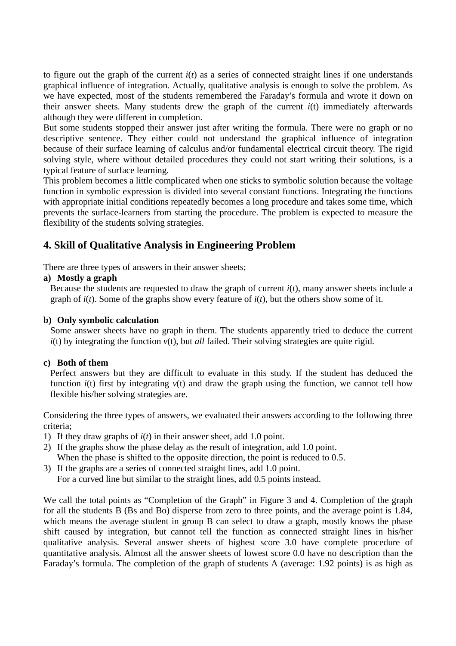to figure out the graph of the current  $i(t)$  as a series of connected straight lines if one understands graphical influence of integration. Actually, qualitative analysis is enough to solve the problem. As we have expected, most of the students remembered the Faraday's formula and wrote it down on their answer sheets. Many students drew the graph of the current  $i(t)$  immediately afterwards although they were different in completion.

But some students stopped their answer just after writing the formula. There were no graph or no descriptive sentence. They either could not understand the graphical influence of integration because of their surface learning of calculus and/or fundamental electrical circuit theory. The rigid solving style, where without detailed procedures they could not start writing their solutions, is a typical feature of surface learning.

This problem becomes a little complicated when one sticks to symbolic solution because the voltage function in symbolic expression is divided into several constant functions. Integrating the functions with appropriate initial conditions repeatedly becomes a long procedure and takes some time, which prevents the surface-learners from starting the procedure. The problem is expected to measure the flexibility of the students solving strategies.

# **4. Skill of Qualitative Analysis in Engineering Problem**

There are three types of answers in their answer sheets;

#### **a) Mostly a graph**

Because the students are requested to draw the graph of current  $i(t)$ , many answer sheets include a graph of  $i(t)$ . Some of the graphs show every feature of  $i(t)$ , but the others show some of it.

#### **b) Only symbolic calculation**

Some answer sheets have no graph in them. The students apparently tried to deduce the current *i*(t) by integrating the function *v*(t), but *all* failed. Their solving strategies are quite rigid.

#### **c) Both of them**

Perfect answers but they are difficult to evaluate in this study. If the student has deduced the function  $i(t)$  first by integrating  $v(t)$  and draw the graph using the function, we cannot tell how flexible his/her solving strategies are.

Considering the three types of answers, we evaluated their answers according to the following three criteria;

- 1) If they draw graphs of *i*(*t*) in their answer sheet, add 1.0 point.
- 2) If the graphs show the phase delay as the result of integration, add 1.0 point. When the phase is shifted to the opposite direction, the point is reduced to 0.5.
- 3) If the graphs are a series of connected straight lines, add 1.0 point. For a curved line but similar to the straight lines, add 0.5 points instead.

We call the total points as "Completion of the Graph" in Figure 3 and 4. Completion of the graph for all the students B (Bs and Bo) disperse from zero to three points, and the average point is 1.84, which means the average student in group B can select to draw a graph, mostly knows the phase shift caused by integration, but cannot tell the function as connected straight lines in his/her qualitative analysis. Several answer sheets of highest score 3.0 have complete procedure of quantitative analysis. Almost all the answer sheets of lowest score 0.0 have no description than the Faraday's formula. The completion of the graph of students A (average: 1.92 points) is as high as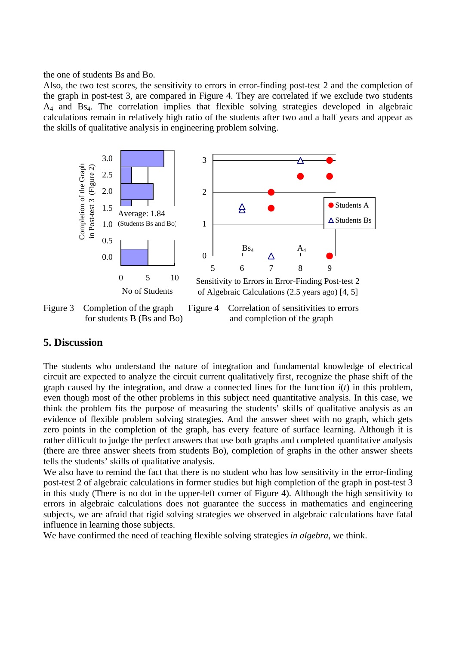the one of students Bs and Bo.

Also, the two test scores, the sensitivity to errors in error-finding post-test 2 and the completion of the graph in post-test 3, are compared in Figure 4. They are correlated if we exclude two students A4 and Bs4. The correlation implies that flexible solving strategies developed in algebraic calculations remain in relatively high ratio of the students after two and a half years and appear as the skills of qualitative analysis in engineering problem solving.



Figure 3 Completion of the graph Figure 4 Correlation of sensitivities to errors

for students B (Bs and Bo) and completion of the graph

## **5. Discussion**

The students who understand the nature of integration and fundamental knowledge of electrical circuit are expected to analyze the circuit current qualitatively first, recognize the phase shift of the graph caused by the integration, and draw a connected lines for the function *i*(*t*) in this problem, even though most of the other problems in this subject need quantitative analysis. In this case, we think the problem fits the purpose of measuring the students' skills of qualitative analysis as an evidence of flexible problem solving strategies. And the answer sheet with no graph, which gets zero points in the completion of the graph, has every feature of surface learning. Although it is rather difficult to judge the perfect answers that use both graphs and completed quantitative analysis (there are three answer sheets from students Bo), completion of graphs in the other answer sheets tells the students' skills of qualitative analysis.

We also have to remind the fact that there is no student who has low sensitivity in the error-finding post-test 2 of algebraic calculations in former studies but high completion of the graph in post-test 3 in this study (There is no dot in the upper-left corner of Figure 4). Although the high sensitivity to errors in algebraic calculations does not guarantee the success in mathematics and engineering subjects, we are afraid that rigid solving strategies we observed in algebraic calculations have fatal influence in learning those subjects.

We have confirmed the need of teaching flexible solving strategies *in algebra*, we think.